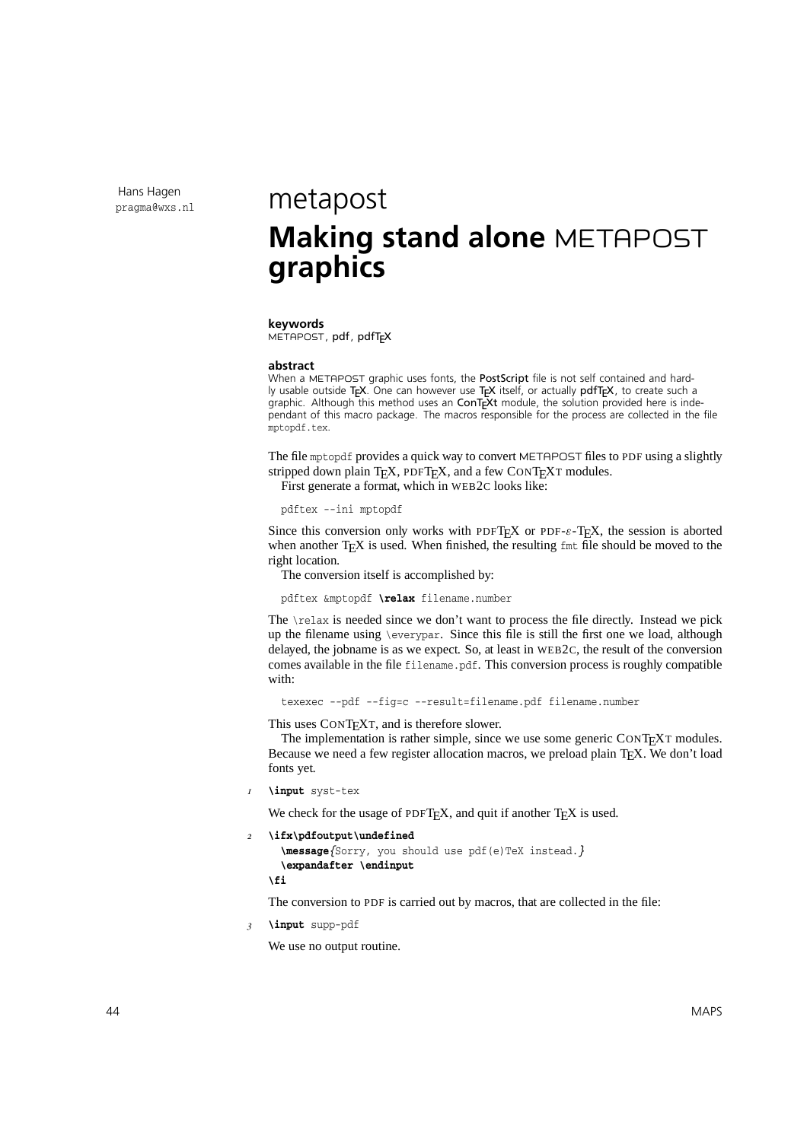Hans Hagen

## $p_{\text{ragma@wxs.nl}}$  metapost **Making stand alone** METAPOST **graphics**

## **keywords**

METAPOST, pdf, pdfT<sub>F</sub>X

## **abstract**

When a METAPOST graphic uses fonts, the PostScript file is not self contained and hardly usable outside TEX. One can however use TEX itself, or actually pdfTEX, to create such a graphic. Although this method uses an  $ConTrXt$  module, the solution provided here is independant of this macro package. The macros responsible for the process are collected in the file mptopdf.tex.

The file mptopdf provides a quick way to convert METAPOST files to PDF using a slightly stripped down plain  $T_FX$ , PDF $T_FX$ , and a few CONT $F_{F}X$ T modules.

First generate a format, which in WEB2C looks like:

pdftex --ini mptopdf

Since this conversion only works with PDFT<sub>E</sub>X or PDF- $\varepsilon$ -T<sub>E</sub>X, the session is aborted when another  $T<sub>F</sub>X$  is used. When finished, the resulting  $f<sub>mt</sub>$  file should be moved to the right location.

The conversion itself is accomplished by:

pdftex &mptopdf **\relax** filename.number

The  $\relaxrightarrows$  is needed since we don't want to process the file directly. Instead we pick up the filename using \everypar. Since this file is still the first one we load, although delayed, the jobname is as we expect. So, at least in WEB2C, the result of the conversion comes available in the file filename.pdf. This conversion process is roughly compatible with:

texexec --pdf --fig=c --result=filename.pdf filename.number

This uses CONT<sub>E</sub>XT, and is therefore slower.

The implementation is rather simple, since we use some generic CONTEXT modules. Because we need a few register allocation macros, we preload plain T<sub>E</sub>X. We don't load fonts yet.

*1* **\input** syst-tex

We check for the usage of PDFTEX, and quit if another  $T \n F X$  is used.

```
2 \ifx\pdfoutput\undefined
```

```
\message{Sorry, you should use pdf(e)TeX instead.}
\expandafter \endinput
```
**\fi**

The conversion to PDF is carried out by macros, that are collected in the file:

*3* **\input** supp-pdf

We use no output routine.